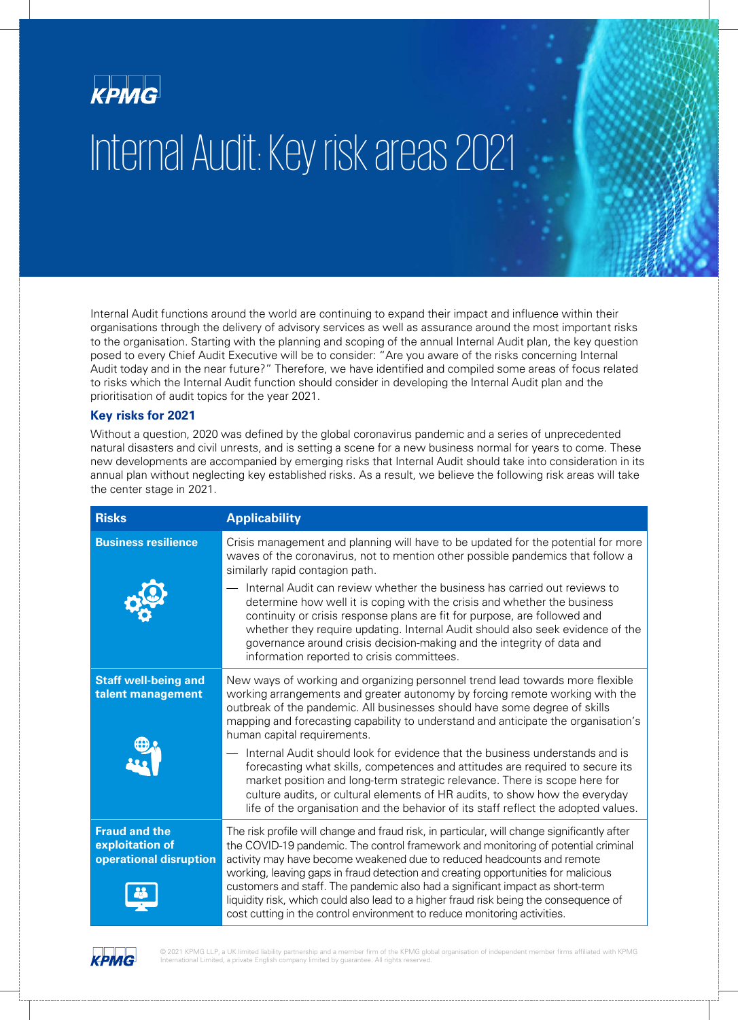

## Internal Audit: Key risk areas 2021

Internal Audit functions around the world are continuing to expand their impact and influence within their organisations through the delivery of advisory services as well as assurance around the most important risks to the organisation. Starting with the planning and scoping of the annual Internal Audit plan, the key question posed to every Chief Audit Executive will be to consider: "Are you aware of the risks concerning Internal Audit today and in the near future?" Therefore, we have identified and compiled some areas of focus related to risks which the Internal Audit function should consider in developing the Internal Audit plan and the prioritisation of audit topics for the year 2021.

## **Key risks for 2021**

Without a question, 2020 was defined by the global coronavirus pandemic and a series of unprecedented natural disasters and civil unrests, and is setting a scene for a new business normal for years to come. These new developments are accompanied by emerging risks that Internal Audit should take into consideration in its annual plan without neglecting key established risks. As a result, we believe the following risk areas will take the center stage in 2021.

| <b>Risks</b>                                                      | <b>Applicability</b>                                                                                                                                                                                                                                                                                                                                                                                                                                                                                                                                                                                  |
|-------------------------------------------------------------------|-------------------------------------------------------------------------------------------------------------------------------------------------------------------------------------------------------------------------------------------------------------------------------------------------------------------------------------------------------------------------------------------------------------------------------------------------------------------------------------------------------------------------------------------------------------------------------------------------------|
| <b>Business resilience</b>                                        | Crisis management and planning will have to be updated for the potential for more<br>waves of the coronavirus, not to mention other possible pandemics that follow a<br>similarly rapid contagion path.                                                                                                                                                                                                                                                                                                                                                                                               |
|                                                                   | Internal Audit can review whether the business has carried out reviews to<br>determine how well it is coping with the crisis and whether the business<br>continuity or crisis response plans are fit for purpose, are followed and<br>whether they require updating. Internal Audit should also seek evidence of the<br>governance around crisis decision-making and the integrity of data and<br>information reported to crisis committees.                                                                                                                                                          |
| <b>Staff well-being and</b><br>talent management                  | New ways of working and organizing personnel trend lead towards more flexible<br>working arrangements and greater autonomy by forcing remote working with the<br>outbreak of the pandemic. All businesses should have some degree of skills<br>mapping and forecasting capability to understand and anticipate the organisation's<br>human capital requirements.                                                                                                                                                                                                                                      |
|                                                                   | Internal Audit should look for evidence that the business understands and is<br>forecasting what skills, competences and attitudes are required to secure its<br>market position and long-term strategic relevance. There is scope here for<br>culture audits, or cultural elements of HR audits, to show how the everyday<br>life of the organisation and the behavior of its staff reflect the adopted values.                                                                                                                                                                                      |
| <b>Fraud and the</b><br>exploitation of<br>operational disruption | The risk profile will change and fraud risk, in particular, will change significantly after<br>the COVID-19 pandemic. The control framework and monitoring of potential criminal<br>activity may have become weakened due to reduced headcounts and remote<br>working, leaving gaps in fraud detection and creating opportunities for malicious<br>customers and staff. The pandemic also had a significant impact as short-term<br>liquidity risk, which could also lead to a higher fraud risk being the consequence of<br>cost cutting in the control environment to reduce monitoring activities. |

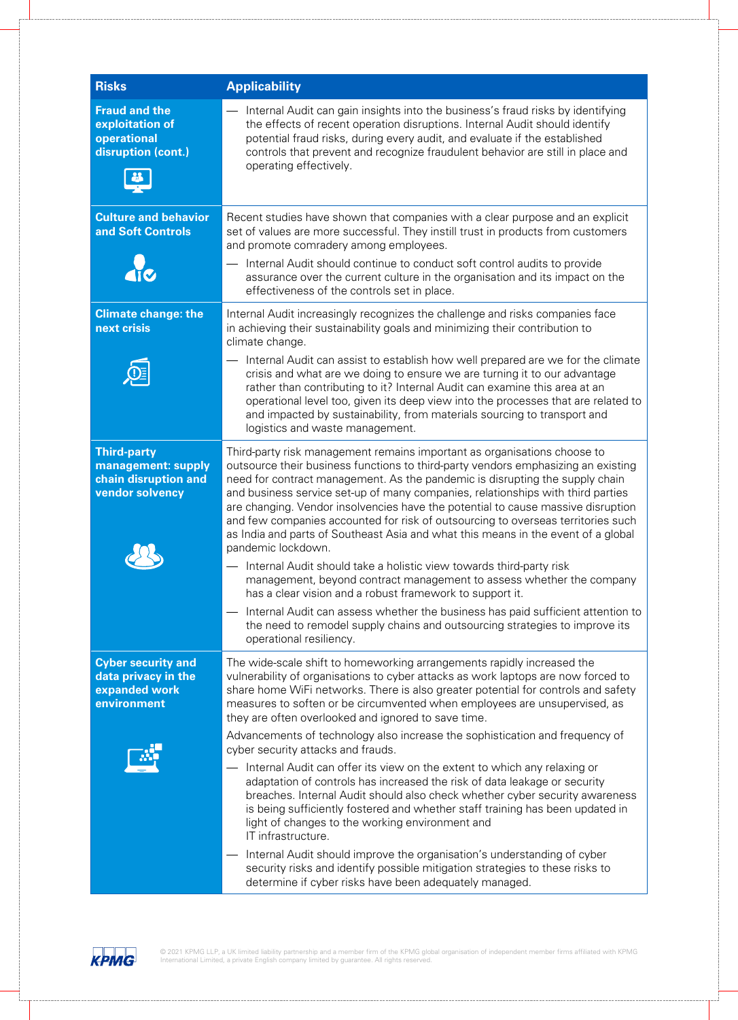| <b>Risks</b>                                                                        | <b>Applicability</b>                                                                                                                                                                                                                                                                                                                                                                                                                                                                                                                                                                                                |
|-------------------------------------------------------------------------------------|---------------------------------------------------------------------------------------------------------------------------------------------------------------------------------------------------------------------------------------------------------------------------------------------------------------------------------------------------------------------------------------------------------------------------------------------------------------------------------------------------------------------------------------------------------------------------------------------------------------------|
| <b>Fraud and the</b><br>exploitation of<br>operational<br>disruption (cont.)        | Internal Audit can gain insights into the business's fraud risks by identifying<br>the effects of recent operation disruptions. Internal Audit should identify<br>potential fraud risks, during every audit, and evaluate if the established<br>controls that prevent and recognize fraudulent behavior are still in place and<br>operating effectively.                                                                                                                                                                                                                                                            |
| <b>Culture and behavior</b><br>and Soft Controls                                    | Recent studies have shown that companies with a clear purpose and an explicit<br>set of values are more successful. They instill trust in products from customers<br>and promote comradery among employees.                                                                                                                                                                                                                                                                                                                                                                                                         |
|                                                                                     | Internal Audit should continue to conduct soft control audits to provide<br>assurance over the current culture in the organisation and its impact on the<br>effectiveness of the controls set in place.                                                                                                                                                                                                                                                                                                                                                                                                             |
| <b>Climate change: the</b><br>next crisis                                           | Internal Audit increasingly recognizes the challenge and risks companies face<br>in achieving their sustainability goals and minimizing their contribution to<br>climate change.                                                                                                                                                                                                                                                                                                                                                                                                                                    |
|                                                                                     | Internal Audit can assist to establish how well prepared are we for the climate<br>crisis and what are we doing to ensure we are turning it to our advantage<br>rather than contributing to it? Internal Audit can examine this area at an<br>operational level too, given its deep view into the processes that are related to<br>and impacted by sustainability, from materials sourcing to transport and<br>logistics and waste management.                                                                                                                                                                      |
| <b>Third-party</b><br>management: supply<br>chain disruption and<br>vendor solvency | Third-party risk management remains important as organisations choose to<br>outsource their business functions to third-party vendors emphasizing an existing<br>need for contract management. As the pandemic is disrupting the supply chain<br>and business service set-up of many companies, relationships with third parties<br>are changing. Vendor insolvencies have the potential to cause massive disruption<br>and few companies accounted for risk of outsourcing to overseas territories such<br>as India and parts of Southeast Asia and what this means in the event of a global<br>pandemic lockdown. |
|                                                                                     | Internal Audit should take a holistic view towards third-party risk<br>management, beyond contract management to assess whether the company<br>has a clear vision and a robust framework to support it.                                                                                                                                                                                                                                                                                                                                                                                                             |
|                                                                                     | Internal Audit can assess whether the business has paid sufficient attention to<br>the need to remodel supply chains and outsourcing strategies to improve its<br>operational resiliency.                                                                                                                                                                                                                                                                                                                                                                                                                           |
| <b>Cyber security and</b><br>data privacy in the<br>expanded work<br>environment    | The wide-scale shift to homeworking arrangements rapidly increased the<br>vulnerability of organisations to cyber attacks as work laptops are now forced to<br>share home WiFi networks. There is also greater potential for controls and safety<br>measures to soften or be circumvented when employees are unsupervised, as<br>they are often overlooked and ignored to save time.                                                                                                                                                                                                                                |
|                                                                                     | Advancements of technology also increase the sophistication and frequency of<br>cyber security attacks and frauds.                                                                                                                                                                                                                                                                                                                                                                                                                                                                                                  |
|                                                                                     | Internal Audit can offer its view on the extent to which any relaxing or<br>adaptation of controls has increased the risk of data leakage or security<br>breaches. Internal Audit should also check whether cyber security awareness<br>is being sufficiently fostered and whether staff training has been updated in<br>light of changes to the working environment and<br>IT infrastructure.                                                                                                                                                                                                                      |
|                                                                                     | Internal Audit should improve the organisation's understanding of cyber<br>security risks and identify possible mitigation strategies to these risks to<br>determine if cyber risks have been adequately managed.                                                                                                                                                                                                                                                                                                                                                                                                   |